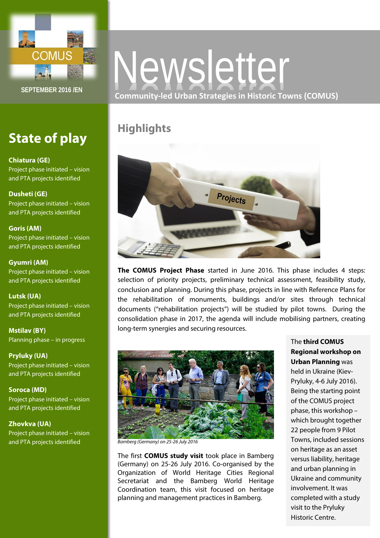

# **State of play**

## **Chiatura (GE)**

Project phase initiated – vision and PTA projects identified

## **Dusheti (GE)**

Project phase initiated – vision and PTA projects identified

## **Goris (AM)**

Project phase initiated – vision and PTA projects identified

## **Gyumri (AM)**

Project phase initiated – vision and PTA projects identified

# **Lutsk (UA)**

Project phase initiated – vision and PTA projects identified

**Mstilav (BY)** Planning phase – in progress

**Pryluky (UA)** Project phase initiated – vision and PTA projects identified

**Soroca (MD)** Project phase initiated – vision and PTA projects identified

**Zhovkva (UA)** Project phase initiated – vision and PTA projects identified

# Newsletter **Community-led Urban Strategies in Historic Towns (COMUS)**

# **Highlights**



**The COMUS Project Phase** started in June 2016. This phase includes 4 steps: selection of priority projects, preliminary technical assessment, feasibility study, conclusion and planning. During this phase, projects in line with Reference Plans for the rehabilitation of monuments, buildings and/or sites through technical documents ("rehabilitation projects") will be studied by pilot towns. During the consolidation phase in 2017, the agenda will include mobilising partners, creating long-term synergies and securing resources.



*Bamberg (Germany) on 25-26 July 2016*

The first **COMUS study visit** took place in Bamberg (Germany) on 25-26 July 2016. Co-organised by the Organization of World Heritage Cities Regional Secretariat and the Bamberg World Heritage Coordination team, this visit focused on heritage planning and management practices in Bamberg.

The **third COMUS Regional workshop on Urban Planning** was held in Ukraine (Kiev-Pryluky, 4-6 July 2016). Being the starting point of the COMUS project phase, this workshop – which brought together 22 people from 9 Pilot Towns, included sessions on heritage as an asset versus liability, heritage and urban planning in Ukraine and community involvement. It was completed with a study visit to the Pryluky Historic Centre.